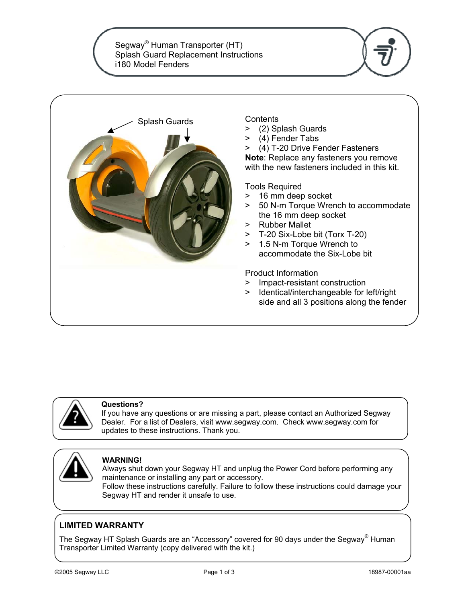Segway® Human Transporter (HT) Splash Guard Replacement Instructions i180 Model Fenders







#### **Questions?**

If you have any questions or are missing a part, please contact an Authorized Segway Dealer. For a list of Dealers, visit www.segway.com. Check www.segway.com for updates to these instructions. Thank you.



#### **WARNING!**

Always shut down your Segway HT and unplug the Power Cord before performing any maintenance or installing any part or accessory.

Follow these instructions carefully. Failure to follow these instructions could damage your Segway HT and render it unsafe to use.

#### **LIMITED WARRANTY**

The Segway HT Splash Guards are an "Accessory" covered for 90 days under the Segway® Human Transporter Limited Warranty (copy delivered with the kit.)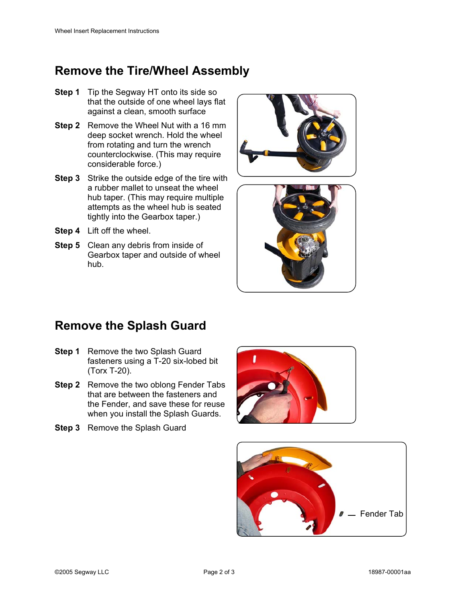# **Remove the Tire/Wheel Assembly**

- **Step 1** Tip the Segway HT onto its side so that the outside of one wheel lays flat against a clean, smooth surface
- **Step 2** Remove the Wheel Nut with a 16 mm deep socket wrench. Hold the wheel from rotating and turn the wrench counterclockwise. (This may require considerable force.)
- **Step 3** Strike the outside edge of the tire with a rubber mallet to unseat the wheel hub taper. (This may require multiple attempts as the wheel hub is seated tightly into the Gearbox taper.)
- **Step 4** Lift off the wheel.
- **Step 5** Clean any debris from inside of Gearbox taper and outside of wheel hub.





# **Remove the Splash Guard**

- **Step 1** Remove the two Splash Guard fasteners using a T-20 six-lobed bit (Torx T-20).
- **Step 2** Remove the two oblong Fender Tabs that are between the fasteners and the Fender, and save these for reuse when you install the Splash Guards.
- **Step 3** Remove the Splash Guard